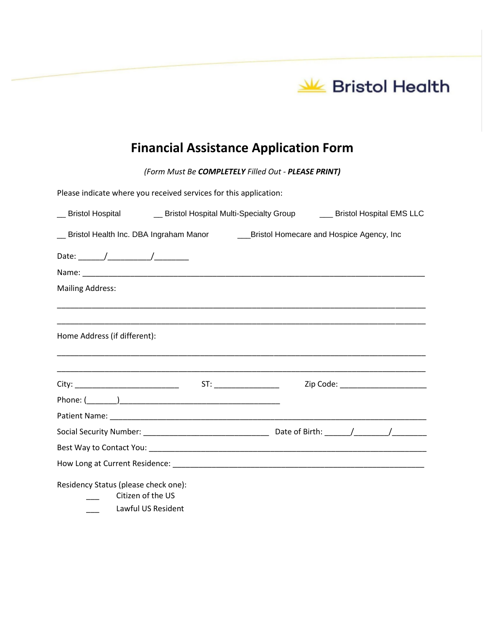

# **Financial Assistance Application Form**

*(Form Must Be COMPLETELY Filled Out - PLEASE PRINT)*

| Please indicate where you received services for this application:                              |                                                                                                                       |
|------------------------------------------------------------------------------------------------|-----------------------------------------------------------------------------------------------------------------------|
|                                                                                                | __ Bristol Hospital _______ Bristol Hospital Multi-Specialty Group ______ Bristol Hospital EMS LLC                    |
| __ Bristol Health Inc. DBA Ingraham Manor ____________Bristol Homecare and Hospice Agency, Inc |                                                                                                                       |
|                                                                                                |                                                                                                                       |
|                                                                                                |                                                                                                                       |
| <b>Mailing Address:</b>                                                                        |                                                                                                                       |
|                                                                                                |                                                                                                                       |
| Home Address (if different):                                                                   | <u> 1989 - Johann Harry Harry Harry Harry Harry Harry Harry Harry Harry Harry Harry Harry Harry Harry Harry Harry</u> |
|                                                                                                |                                                                                                                       |
|                                                                                                |                                                                                                                       |
|                                                                                                |                                                                                                                       |
|                                                                                                |                                                                                                                       |
|                                                                                                |                                                                                                                       |
|                                                                                                |                                                                                                                       |
|                                                                                                |                                                                                                                       |
| Residency Status (please check one):<br>Citizen of the US                                      |                                                                                                                       |
| Lawful US Resident                                                                             |                                                                                                                       |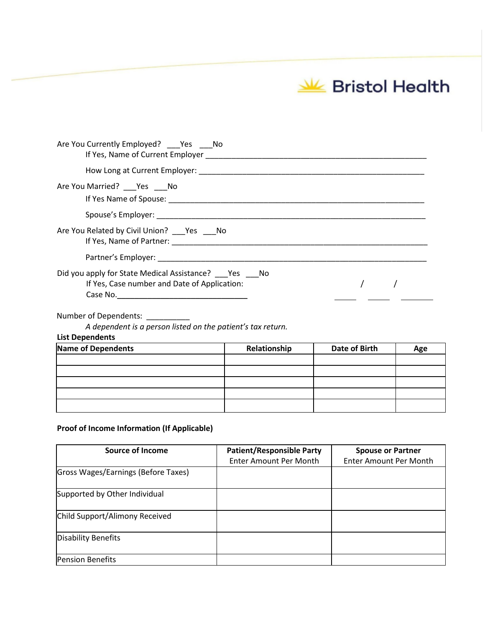Bristol Health

| Are You Currently Employed? Yes No                                                                 |  |
|----------------------------------------------------------------------------------------------------|--|
|                                                                                                    |  |
| Are You Married? ___ Yes ___ No                                                                    |  |
|                                                                                                    |  |
| Are You Related by Civil Union? ____ Yes _____ No                                                  |  |
|                                                                                                    |  |
| Did you apply for State Medical Assistance? Yes No<br>If Yes, Case number and Date of Application: |  |
|                                                                                                    |  |

### Number of Dependents: \_\_\_\_\_\_\_

*A dependent is a person listed on the patient's tax return.*

#### **List Dependents**

| Name of Dependents | Relationship | Date of Birth | Age |
|--------------------|--------------|---------------|-----|
|                    |              |               |     |
|                    |              |               |     |
|                    |              |               |     |
|                    |              |               |     |
|                    |              |               |     |

## **Proof of Income Information (If Applicable)**

| <b>Source of Income</b>             | <b>Patient/Responsible Party</b> | <b>Spouse or Partner</b>      |
|-------------------------------------|----------------------------------|-------------------------------|
|                                     | Enter Amount Per Month           | <b>Enter Amount Per Month</b> |
| Gross Wages/Earnings (Before Taxes) |                                  |                               |
| Supported by Other Individual       |                                  |                               |
| Child Support/Alimony Received      |                                  |                               |
| Disability Benefits                 |                                  |                               |
| <b>Pension Benefits</b>             |                                  |                               |